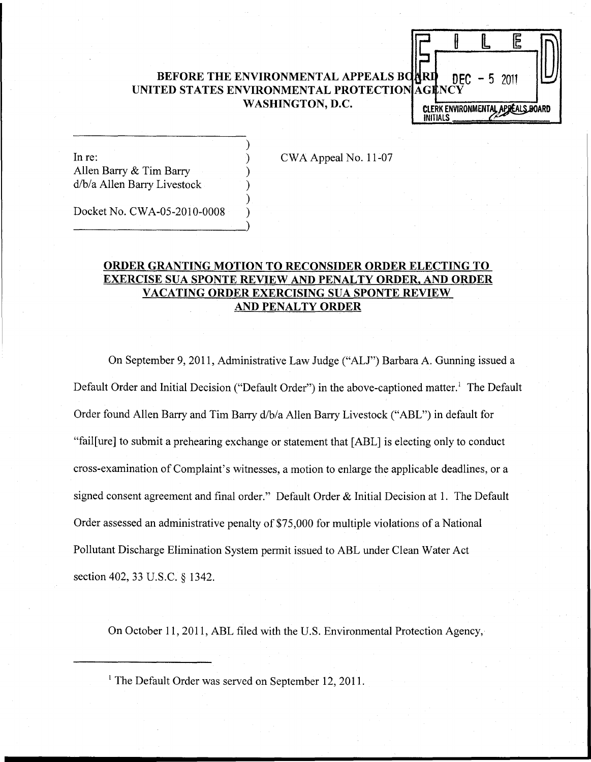## BEFORE THE ENVIRONMENTAL APPEALS BOURD **DFC** - 5 2011 UNITED STATES ENVIRONMENTAL PROTECTION AGENCY WASHINGTON, D.C.

) ) ) ) ) ) CLERK ENVIRONMENTAL APPEALS BOARD<br>INITIALS

 $\mathbb{R}$ 

I

E

In re: Allen Barry & Tim Barry d/b/a Allen Barry Livestock

CWA Appeal No. 11-07

Docket No. CWA-05-2010-0008

----------------------)

# ORDER GRANTING MOTION TO RECONSIDER ORDER ELECTING TO EXERCISE SUA SPONTE REVIEW AND PENALTY ORDER, AND ORDER VACATING ORDER EXERCISING SUA SPONTE REVIEW AND PENALTY ORDER

On September 9, 2011, Administrative Law Judge ("ALJ") Barbara A. Gunning issued a Default Order and Initial Decision ("Default Order") in the above-captioned matter.<sup>1</sup> The Default Order found Allen Barry and Tim Barry d/b/a Allen Barry Livestock ("ABL") in default for "fail[ure] to submit a prehearing exchange or statement that [ABL] is electing only to conduct cross-examination of Complaint's witnesses, a motion to enlarge the applicable deadlines, or a signed consent agreement and final order." Default Order & Initial Decision at 1. The Default Order assessed an administrative penalty of \$75,000 for multiple violations of a National Pollutant Discharge Elimination System permit issued to ABL under Clean Water Act section 402,33 U.S.C. § 1342.

On October 11,2011, ABL filed with the U.S. Environmental Protection Agency,

<sup>1</sup> The Default Order was served on September 12, 2011.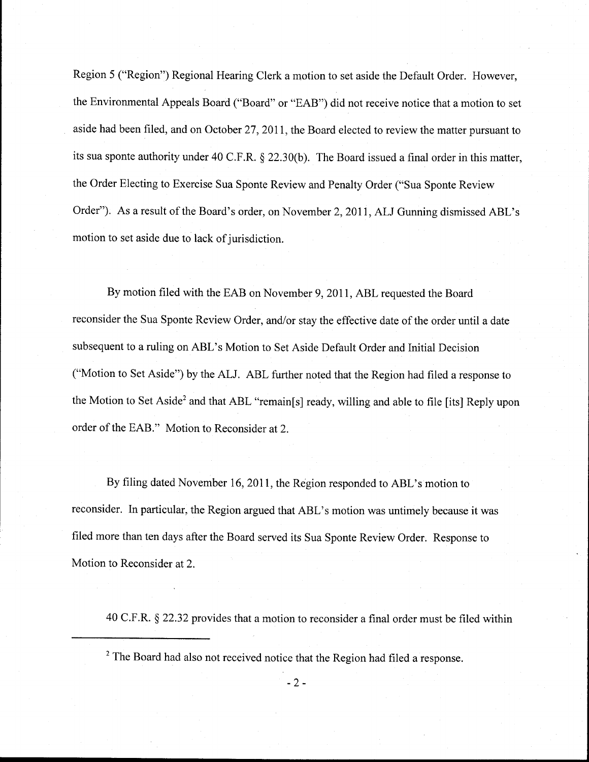Region 5 ("Region") Regional Hearing Clerk a motion to set aside the Default Order. However, the Environmental Appeals Board ("Board" or "EAB") did not receive notice that a motion to set aside had been filed, and on October 27,2011, the Board elected to review the matter pursuant to its sua sponte authority under 40 C.F.R. § 22.30(b). The Board issued a final order in this matter, the Order Electing to Exercise Sua Sponte Review and Penalty Order ("Sua Sponte Review Order"). As a result of the Board's order, on November 2,2011, ALl Gunning dismissed ABL's motion to set aside due to lack of jurisdiction.

By motion filed with the EAB on November 9,2011, ABL requested the Board reconsider the Sua Sponte Review Order, and/or stay the effective date of the order until a date subsequent to a ruling on ABL's Motion to Set Aside Default Order and Initial Decision ("Motion to Set Aside") by the ALl. ABL further noted that the Region had filed a response to the Motion to Set Aside<sup>2</sup> and that ABL "remain[s] ready, willing and able to file [its] Reply upon order of the EAB." Motion to Reconsider at 2.

By filing dated November 16, 2011, the Region responded to ABL's motion to reconsider. In particular, the Region argued that ABL's motion was untimely because it was filed more than ten days after the Board served its Sua Sponte Review Order. Response to Motion to Reconsider at 2.

40 C.F.R. § 22.32 provides that a motion to reconsider a final order must be filed within

<sup>2</sup> The Board had also not received notice that the Region had filed a response.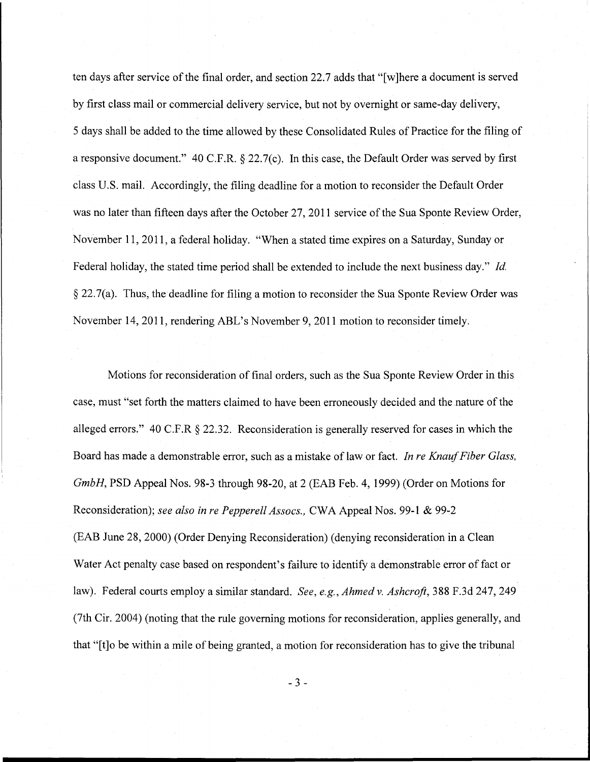ten days after service of the final order, and section 22.7 adds that "[w]here a document is served by first class mail or commercial delivery service, but not by overnight or same-day delivery, 5 days shall be added to the time allowed by these Consolidated Rules of Practice for the filing of a responsive document." 40 C.F.R. § 22.7(c). In this case, the Default Order was served by first class U.S. mail. Accordingly, the filing deadline for a motion to reconsider the Default Order was no later than fifteen days after the October 27,2011 service of the Sua Sponte Review Order, November 11,2011, a federal holiday. "When a stated time expires on a Saturday, Sunday or Federal holiday, the stated time period shall be extended to include the next business day." *Id.*  § 22.7(a). Thus, the deadline for filing a motion to reconsider the Sua Sponte Review Order was November 14,2011, rendering ABL's November 9, 2011 motion to reconsider timely.

Motions for reconsideration of final orders, such as the Sua Sponte Review Order in this case, must "set forth the matters claimed to have been erroneously decided and the nature of the alleged errors." 40 C.F.R § 22.32. Reconsideration is generally reserved for cases in which the Board has made a demonstrable error, such as a mistake of law or fact. *In re Knauf Fiber Glass, GmbH,* PSD Appeal Nos. 98-3 through 98-20, at 2 (EAB Feb. 4, 1999) (Order on Motions for Reconsideration); *see also in re Pepperell Assocs.,* CWA Appeal Nos. 99-1 & 99-2 (EAB June 28, 2000) (Order Denying Reconsideration) (denying reconsideration in a Clean Water Act penalty case based on respondent's failure to identify a demonstrable error of fact or law). Federal courts employ a similar standard. *See, e.g., Ahmed* v. *Ashcroft,* 388 F.3d 247,249 (7th Cir. 2004) (noting that the rule governing motions for reconsideration, applies generally, and that "[t]o be within a mile of being granted, a motion for reconsideration has to give the tribunal

- 3 -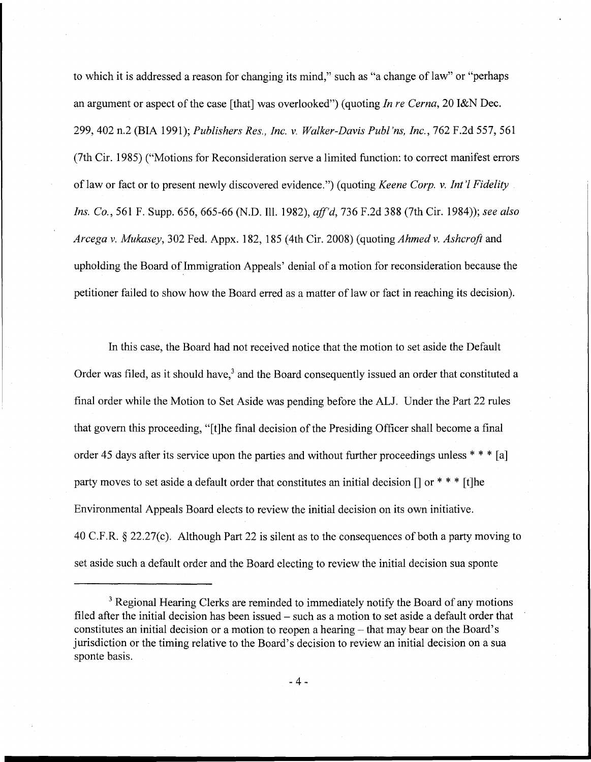to which it is addressed a reason for changing its mind," such as "a change of law" or "perhaps an argument or aspect of the case [that] was overlooked") (quoting *In re Cerna,* 20 I&N Dec. 299,402 n.2 (BIA 1991); *Publishers Res., Inc.* v. *Walker-Davis Publ'ns, Inc.,* 762 F.2d 557,561 (7th Cir. 1985) ("Motions for Reconsideration serve a limited function: to correct manifest errors oflaw or fact or to present newly discovered evidence.") (quoting *Keene Corp.* v. *Int'l Fidelity Ins. Co.,* 561 F. Supp. 656, 665-66 (N.D. Ill. 1982), *aff'd,* 736 F.2d 388 (7th Cir. 1984»; *see also Arcega* v. *Mukasey,* 302 Fed. Appx. 182, 185 (4th Cir. 2008) (quoting *Ahmed* v. *Ashcroft* and upholding the Board of Immigration Appeals' denial of a motion for reconsideration because the petitioner failed to show how the Board erred as a matter of law or fact in reaching its decision).

In this case, the Board had not received notice that the motion to set aside the Default Order was filed, as it should have,<sup>3</sup> and the Board consequently issued an order that constituted a final order while the Motion to Set Aside was pending before the ALl. Under the Part 22 rules that govern this proceeding, "[t]he final decision of the Presiding Officer shall become a final order 45 days after its service upon the parties and without further proceedings unless \* \* \* [a] party moves to set aside a default order that constitutes an initial decision  $\lceil \cdot \rceil$  or  $\ast \ast \ast$  [t]he Environmental Appeals Board elects to review the initial decision on its own initiative. 40 C.F.R. § 22.27(c). Although Part 22 is silent as to the consequences of both a party moving to set aside such a default order and the Board electing to review the initial decision sua sponte

<sup>&</sup>lt;sup>3</sup> Regional Hearing Clerks are reminded to immediately notify the Board of any motions filed after the initial decision has been issued – such as a motion to set aside a default order that constitutes an initial decision or a motion to reopen a hearing – that may bear on the Board's jurisdiction or the timing relative to the Board's decision to review an initial decision on a sua sponte basis.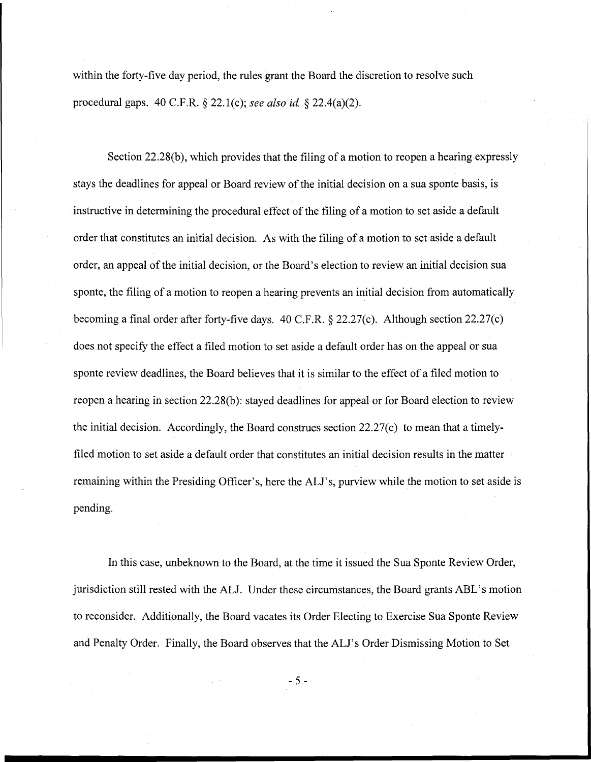within the forty-five day period, the rules grant the Board the discretion to resolve such procedural gaps. 40 C.F.R. § 22.1(c); *see also id.* § 22.4(a)(2).

Section 22.28(b), which provides that the filing of a motion to reopen a hearing expressly stays the deadlines for appeal or Board review of the initial decision on a sua sponte basis, is instructive in determining the procedural effect of the filing of a motion to set aside a default order that constitutes an initial decision. As with the filing of a motion to set aside a default order, an appeal of the initial decision, or the Board's election to review an initial decision sua sponte, the filing of a motion to reopen a hearing prevents an initial decision from automatically becoming a final order after forty-five days. 40 C.F.R. § 22.27(c). Although section 22.27(c) does not specify the effect a filed motion to set aside a default order has on the appeal or sua sponte review deadlines, the Board believes that it is similar to the effect of a filed motion to reopen a hearing in section 22.28(b): stayed deadlines for appeal or for Board election to review the initial decision. Accordingly, the Board construes section 22.27(c) to mean that a timelyfiled motion to set aside a default order that constitutes an initial decision results in the matter remaining within the Presiding Officer's, here the ALl's, purview while the motion to set aside is pending.

**In** this case, unbeknown to the Board, at the time it issued the Sua Sponte Review Order, jurisdiction still rested with the ALl. Under these circumstances, the Board grants ABL's motion to reconsider. Additionally, the Board vacates its Order Electing to Exercise Sua Sponte Review and Penalty Order. Finally, the Board observes that the ALl's Order Dismissing Motion to Set

- 5 -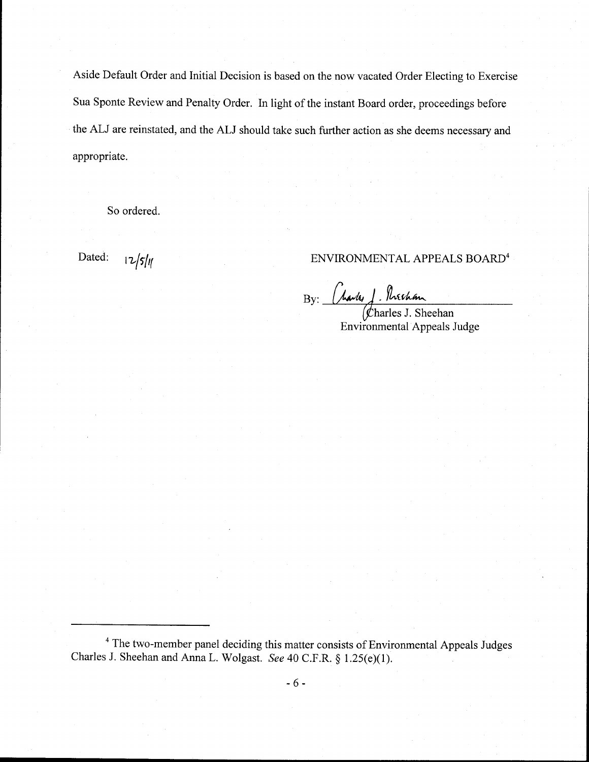Aside Default Order and Initial Decision is based on the now vacated Order Electing to Exercise Sua Sponte Review and Penalty Order. In light of the instant Board order, proceedings before the ALJ are reinstated, and the ALJ should take such further action as she deems necessary and appropriate.

So ordered.

# Dated:  $\frac{12}{5}$ |*y*|

 $_{\rm By:}$  (havly). Nechan

harles J. Sheehan Environmental Appeals Judge

<sup>4</sup> The two-member panel deciding this matter consists of Environmental Appeals Judges Charles J. Sheehan and Anna L. Wolgast. *See* 40 C.F.R. § 1.25(e)(1).